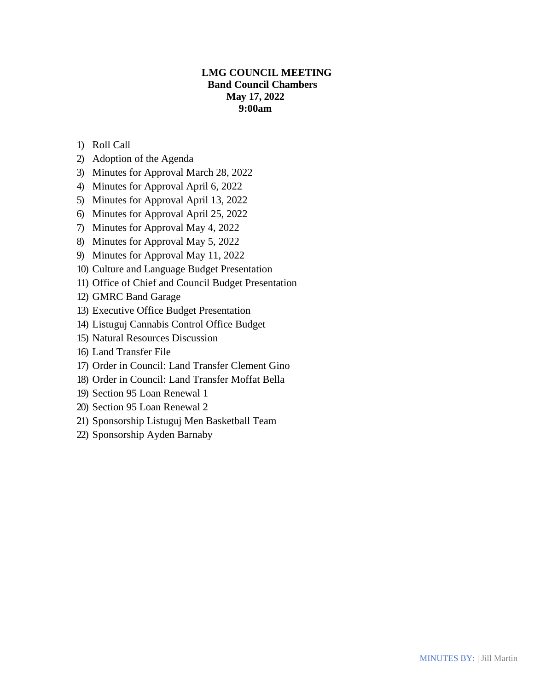# **LMG COUNCIL MEETING Band Council Chambers May 17, 2022 9:00am**

- 1) Roll Call
- 2) Adoption of the Agenda
- 3) Minutes for Approval March 28, 2022
- 4) Minutes for Approval April 6, 2022
- 5) Minutes for Approval April 13, 2022
- 6) Minutes for Approval April 25, 2022
- 7) Minutes for Approval May 4, 2022
- 8) Minutes for Approval May 5, 2022
- 9) Minutes for Approval May 11, 2022
- 10) Culture and Language Budget Presentation
- 11) Office of Chief and Council Budget Presentation
- 12) GMRC Band Garage
- 13) Executive Office Budget Presentation
- 14) Listuguj Cannabis Control Office Budget
- 15) Natural Resources Discussion
- 16) Land Transfer File
- 17) Order in Council: Land Transfer Clement Gino
- 18) Order in Council: Land Transfer Moffat Bella
- 19) Section 95 Loan Renewal 1
- 20) Section 95 Loan Renewal 2
- 21) Sponsorship Listuguj Men Basketball Team
- 22) Sponsorship Ayden Barnaby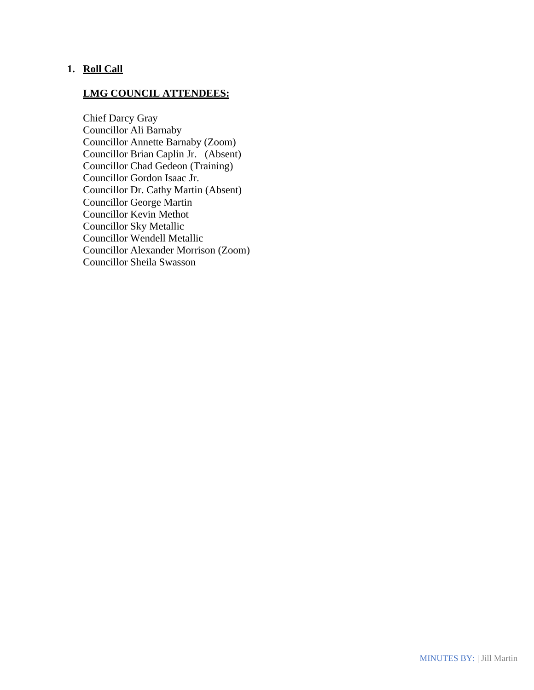# **1. Roll Call**

# **LMG COUNCIL ATTENDEES:**

Chief Darcy Gray Councillor Ali Barnaby Councillor Annette Barnaby (Zoom) Councillor Brian Caplin Jr. (Absent) Councillor Chad Gedeon (Training) Councillor Gordon Isaac Jr. Councillor Dr. Cathy Martin (Absent) Councillor George Martin Councillor Kevin Methot Councillor Sky Metallic Councillor Wendell Metallic Councillor Alexander Morrison (Zoom) Councillor Sheila Swasson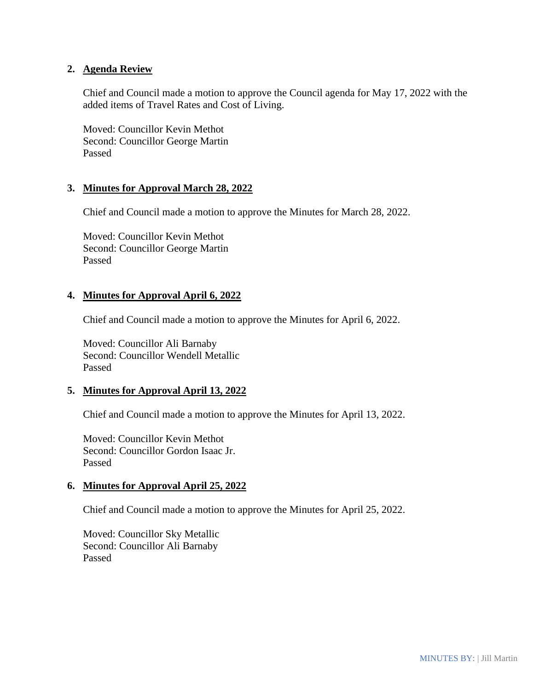### **2. Agenda Review**

Chief and Council made a motion to approve the Council agenda for May 17, 2022 with the added items of Travel Rates and Cost of Living.

Moved: Councillor Kevin Methot Second: Councillor George Martin Passed

### **3. Minutes for Approval March 28, 2022**

Chief and Council made a motion to approve the Minutes for March 28, 2022.

Moved: Councillor Kevin Methot Second: Councillor George Martin Passed

### **4. Minutes for Approval April 6, 2022**

Chief and Council made a motion to approve the Minutes for April 6, 2022.

Moved: Councillor Ali Barnaby Second: Councillor Wendell Metallic Passed

### **5. Minutes for Approval April 13, 2022**

Chief and Council made a motion to approve the Minutes for April 13, 2022.

Moved: Councillor Kevin Methot Second: Councillor Gordon Isaac Jr. Passed

### **6. Minutes for Approval April 25, 2022**

Chief and Council made a motion to approve the Minutes for April 25, 2022.

Moved: Councillor Sky Metallic Second: Councillor Ali Barnaby Passed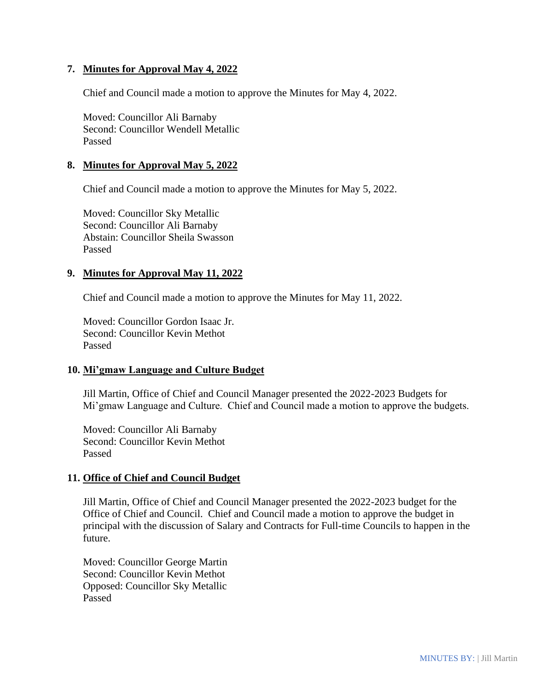# **7. Minutes for Approval May 4, 2022**

Chief and Council made a motion to approve the Minutes for May 4, 2022.

Moved: Councillor Ali Barnaby Second: Councillor Wendell Metallic Passed

### **8. Minutes for Approval May 5, 2022**

Chief and Council made a motion to approve the Minutes for May 5, 2022.

Moved: Councillor Sky Metallic Second: Councillor Ali Barnaby Abstain: Councillor Sheila Swasson Passed

### **9. Minutes for Approval May 11, 2022**

Chief and Council made a motion to approve the Minutes for May 11, 2022.

Moved: Councillor Gordon Isaac Jr. Second: Councillor Kevin Methot Passed

### **10. Mi'gmaw Language and Culture Budget**

Jill Martin, Office of Chief and Council Manager presented the 2022-2023 Budgets for Mi'gmaw Language and Culture. Chief and Council made a motion to approve the budgets.

Moved: Councillor Ali Barnaby Second: Councillor Kevin Methot Passed

### **11. Office of Chief and Council Budget**

Jill Martin, Office of Chief and Council Manager presented the 2022-2023 budget for the Office of Chief and Council. Chief and Council made a motion to approve the budget in principal with the discussion of Salary and Contracts for Full-time Councils to happen in the future.

Moved: Councillor George Martin Second: Councillor Kevin Methot Opposed: Councillor Sky Metallic Passed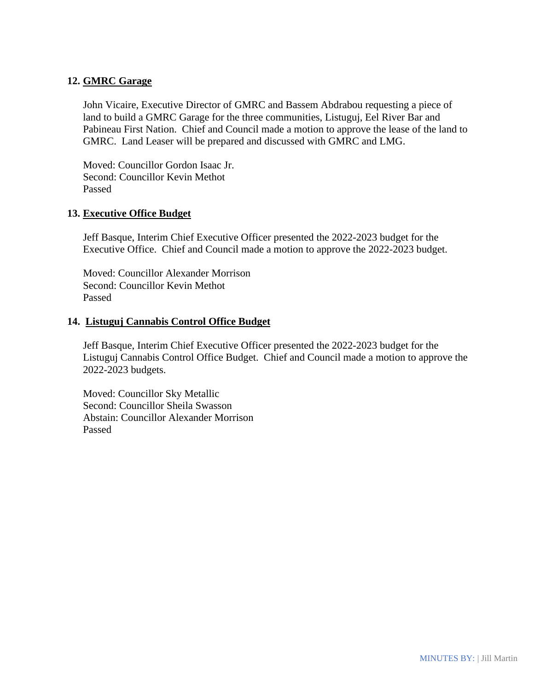# **12. GMRC Garage**

John Vicaire, Executive Director of GMRC and Bassem Abdrabou requesting a piece of land to build a GMRC Garage for the three communities, Listuguj, Eel River Bar and Pabineau First Nation. Chief and Council made a motion to approve the lease of the land to GMRC. Land Leaser will be prepared and discussed with GMRC and LMG.

Moved: Councillor Gordon Isaac Jr. Second: Councillor Kevin Methot Passed

### **13. Executive Office Budget**

Jeff Basque, Interim Chief Executive Officer presented the 2022-2023 budget for the Executive Office. Chief and Council made a motion to approve the 2022-2023 budget.

Moved: Councillor Alexander Morrison Second: Councillor Kevin Methot Passed

### **14. Listuguj Cannabis Control Office Budget**

Jeff Basque, Interim Chief Executive Officer presented the 2022-2023 budget for the Listuguj Cannabis Control Office Budget. Chief and Council made a motion to approve the 2022-2023 budgets.

Moved: Councillor Sky Metallic Second: Councillor Sheila Swasson Abstain: Councillor Alexander Morrison Passed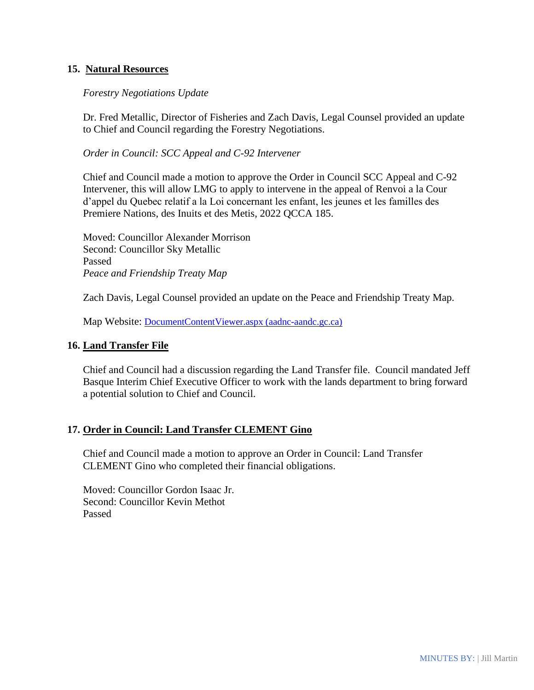### **15. Natural Resources**

### *Forestry Negotiations Update*

Dr. Fred Metallic, Director of Fisheries and Zach Davis, Legal Counsel provided an update to Chief and Council regarding the Forestry Negotiations.

*Order in Council: SCC Appeal and C-92 Intervener* 

Chief and Council made a motion to approve the Order in Council SCC Appeal and C-92 Intervener, this will allow LMG to apply to intervene in the appeal of Renvoi a la Cour d'appel du Quebec relatif a la Loi concernant les enfant, les jeunes et les familles des Premiere Nations, des Inuits et des Metis, 2022 QCCA 185.

Moved: Councillor Alexander Morrison Second: Councillor Sky Metallic Passed *Peace and Friendship Treaty Map*

Zach Davis, Legal Counsel provided an update on the Peace and Friendship Treaty Map.

Map Website: [DocumentContentViewer.aspx \(aadnc-aandc.gc.ca\)](https://sidait-atris.aadnc-aandc.gc.ca/atris_online/Content/DocumentContentViewer.aspx?id=9DB886375A834A508773B783D2B63793&fbclid=IwAR07JrCFKIwvIjThW2C4GqwPPrCAZGS0MYwomtiU2ofvpTDMtIWRtFIQvLw)

#### **16. Land Transfer File**

Chief and Council had a discussion regarding the Land Transfer file. Council mandated Jeff Basque Interim Chief Executive Officer to work with the lands department to bring forward a potential solution to Chief and Council.

#### **17. Order in Council: Land Transfer CLEMENT Gino**

Chief and Council made a motion to approve an Order in Council: Land Transfer CLEMENT Gino who completed their financial obligations.

Moved: Councillor Gordon Isaac Jr. Second: Councillor Kevin Methot Passed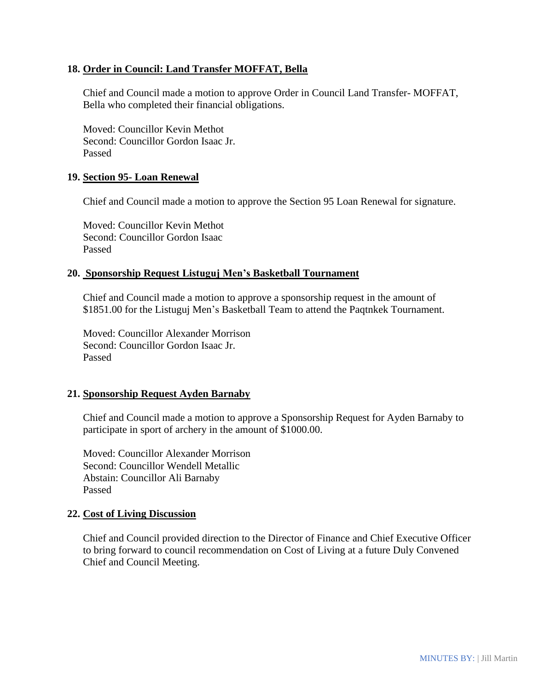### **18. Order in Council: Land Transfer MOFFAT, Bella**

Chief and Council made a motion to approve Order in Council Land Transfer- MOFFAT, Bella who completed their financial obligations.

Moved: Councillor Kevin Methot Second: Councillor Gordon Isaac Jr. Passed

### **19. Section 95- Loan Renewal**

Chief and Council made a motion to approve the Section 95 Loan Renewal for signature.

Moved: Councillor Kevin Methot Second: Councillor Gordon Isaac Passed

### **20. Sponsorship Request Listuguj Men's Basketball Tournament**

Chief and Council made a motion to approve a sponsorship request in the amount of \$1851.00 for the Listuguj Men's Basketball Team to attend the Paqtnkek Tournament.

Moved: Councillor Alexander Morrison Second: Councillor Gordon Isaac Jr. Passed

### **21. Sponsorship Request Ayden Barnaby**

Chief and Council made a motion to approve a Sponsorship Request for Ayden Barnaby to participate in sport of archery in the amount of \$1000.00.

Moved: Councillor Alexander Morrison Second: Councillor Wendell Metallic Abstain: Councillor Ali Barnaby Passed

#### **22. Cost of Living Discussion**

Chief and Council provided direction to the Director of Finance and Chief Executive Officer to bring forward to council recommendation on Cost of Living at a future Duly Convened Chief and Council Meeting.